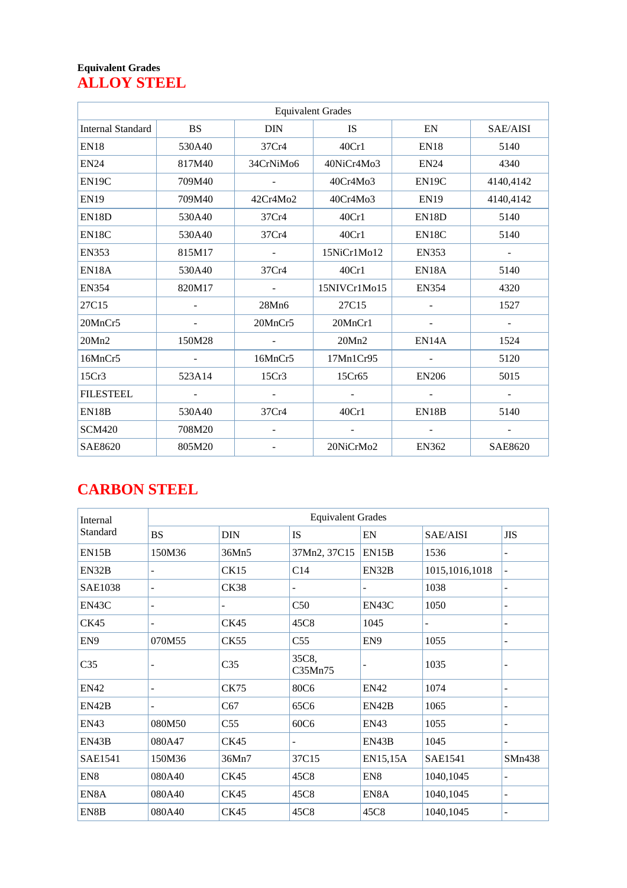#### **Equivalent Grades ALLOY STEEL**

|                          | <b>Equivalent Grades</b> |                          |              |                          |                |  |  |  |  |
|--------------------------|--------------------------|--------------------------|--------------|--------------------------|----------------|--|--|--|--|
| <b>Internal Standard</b> | <b>BS</b>                | <b>DIN</b>               | <b>IS</b>    | EN                       | SAE/AISI       |  |  |  |  |
| <b>EN18</b>              | 530A40                   | 37Cr4                    | 40Cr1        | <b>EN18</b>              | 5140           |  |  |  |  |
| <b>EN24</b>              | 817M40                   | 34CrNiMo6                | 40NiCr4Mo3   | <b>EN24</b>              | 4340           |  |  |  |  |
| EN19C                    | 709M40                   |                          | 40Cr4Mo3     | EN19C                    | 4140,4142      |  |  |  |  |
| <b>EN19</b>              | 709M40                   | 42Cr4Mo2                 | 40Cr4Mo3     | <b>EN19</b>              | 4140,4142      |  |  |  |  |
| EN18D                    | 530A40                   | 37Cr4                    | 40Cr1        | EN18D                    | 5140           |  |  |  |  |
| EN18C                    | 530A40                   | 37Cr4                    | 40Cr1        | EN18C                    | 5140           |  |  |  |  |
| <b>EN353</b>             | 815M17                   |                          | 15NiCr1Mo12  | <b>EN353</b>             |                |  |  |  |  |
| EN18A                    | 530A40                   | 37Cr4                    | 40Cr1        | EN18A                    | 5140           |  |  |  |  |
| <b>EN354</b>             | 820M17                   | $\blacksquare$           | 15NIVCr1Mo15 | <b>EN354</b>             | 4320           |  |  |  |  |
| 27C15                    |                          | 28Mn6                    | 27C15        | $\overline{\phantom{a}}$ | 1527           |  |  |  |  |
| 20MnCr5                  |                          | 20MnCr5                  | 20MnCr1      |                          |                |  |  |  |  |
| 20Mn2                    | 150M28                   | $\overline{\phantom{a}}$ | 20Mn2        | EN14A                    | 1524           |  |  |  |  |
| 16MnCr5                  |                          | 16MnCr5                  | 17Mn1Cr95    |                          | 5120           |  |  |  |  |
| 15Cr3                    | 523A14                   | 15Cr3                    | 15Cr65       | <b>EN206</b>             | 5015           |  |  |  |  |
| <b>FILESTEEL</b>         |                          |                          |              |                          |                |  |  |  |  |
| EN18B                    | 530A40                   | 37Cr4                    | 40Cr1        | EN18B                    | 5140           |  |  |  |  |
| <b>SCM420</b>            | 708M20                   |                          |              | $\overline{\phantom{a}}$ |                |  |  |  |  |
| <b>SAE8620</b>           | 805M20                   |                          | 20NiCrMo2    | <b>EN362</b>             | <b>SAE8620</b> |  |  |  |  |

#### **CARBON STEEL**

| Internal        |                |                 | <b>Equivalent Grades</b> |                 |                  |                          |
|-----------------|----------------|-----------------|--------------------------|-----------------|------------------|--------------------------|
| Standard        | <b>BS</b>      | <b>DIN</b>      | IS                       | EN              | SAE/AISI         | <b>JIS</b>               |
| EN15B           | 150M36         | 36Mn5           | 37Mn2, 37C15             | EN15B           | 1536             | $\overline{\phantom{a}}$ |
| EN32B           | $\overline{a}$ | <b>CK15</b>     | C14                      | EN32B           | 1015, 1016, 1018 | -                        |
| <b>SAE1038</b>  | -              | <b>CK38</b>     |                          | $\overline{a}$  | 1038             | $\overline{\phantom{a}}$ |
| EN43C           | $\overline{a}$ |                 | C50                      | EN43C           | 1050             | $\overline{\phantom{0}}$ |
| <b>CK45</b>     |                | <b>CK45</b>     | 45C8                     | 1045            |                  |                          |
| EN <sub>9</sub> | 070M55         | <b>CK55</b>     | C <sub>55</sub>          | EN <sub>9</sub> | 1055             | $\overline{\phantom{a}}$ |
| C <sub>35</sub> |                | C <sub>35</sub> | 35C8,<br>C35Mn75         | $\overline{a}$  | 1035             |                          |
| <b>EN42</b>     |                | <b>CK75</b>     | <b>80C6</b>              | <b>EN42</b>     | 1074             |                          |
| EN42B           | $\overline{a}$ | C67             | 65C6                     | EN42B           | 1065             | $\overline{\phantom{a}}$ |
| <b>EN43</b>     | 080M50         | C <sub>55</sub> | 60C6                     | <b>EN43</b>     | 1055             | -                        |
| EN43B           | 080A47         | <b>CK45</b>     |                          | EN43B           | 1045             |                          |
| <b>SAE1541</b>  | 150M36         | 36Mn7           | 37C15                    | EN15,15A        | <b>SAE1541</b>   | SMn438                   |
| EN <sub>8</sub> | 080A40         | <b>CK45</b>     | 45C8                     | EN <sub>8</sub> | 1040,1045        |                          |
| EN8A            | 080A40         | <b>CK45</b>     | 45C8                     | EN8A            | 1040,1045        | $\overline{\phantom{a}}$ |
| EN8B            | 080A40         | <b>CK45</b>     | 45C8                     | 45C8            | 1040,1045        |                          |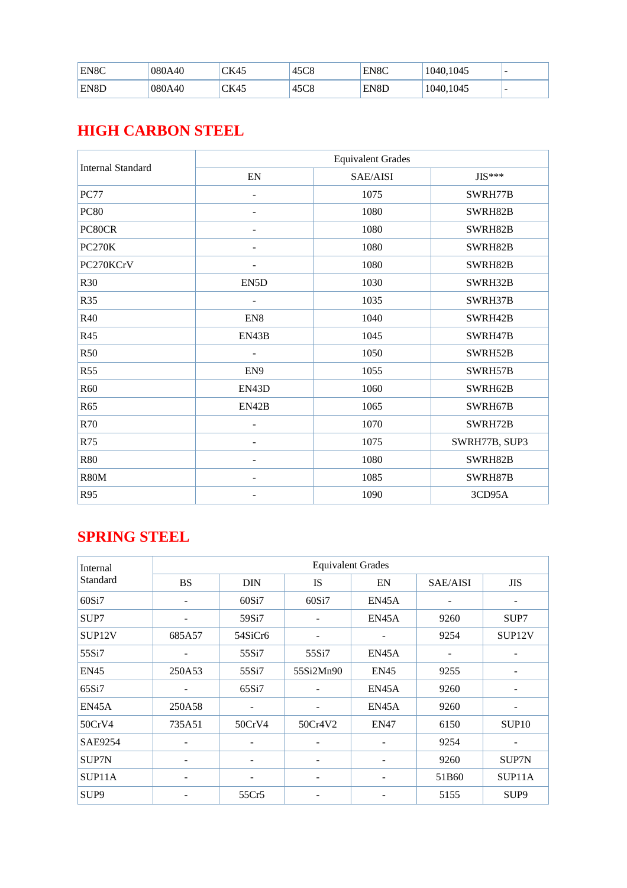| EN8C | 080A40 | CK45 | 45C8         | EN8C | 1040,1045 | $\overline{\phantom{0}}$ |
|------|--------|------|--------------|------|-----------|--------------------------|
| EN8D | 080A40 | CK45 | 45CQ<br>45C8 | EN8D | 1040,1045 | $\overline{\phantom{0}}$ |

#### **HIGH CARBON STEEL**

| <b>Internal Standard</b> |                              | <b>Equivalent Grades</b> |               |  |
|--------------------------|------------------------------|--------------------------|---------------|--|
|                          | ${\rm EN}$                   | SAE/AISI                 | $JIS***$      |  |
| <b>PC77</b>              | $\qquad \qquad -$            | 1075                     | SWRH77B       |  |
| <b>PC80</b>              |                              | 1080                     | SWRH82B       |  |
| PC80CR                   |                              | 1080                     | SWRH82B       |  |
| <b>PC270K</b>            | $\qquad \qquad$              | 1080                     | SWRH82B       |  |
| PC270KCrV                | $\qquad \qquad \blacksquare$ | 1080                     | SWRH82B       |  |
| R30                      | EN5D                         | 1030                     | SWRH32B       |  |
| R35                      | $\qquad \qquad -$            | 1035                     | SWRH37B       |  |
| R40                      | EN <sub>8</sub>              | 1040                     | SWRH42B       |  |
| R45                      | EN43B                        | 1045                     | SWRH47B       |  |
| <b>R50</b>               |                              | 1050                     | SWRH52B       |  |
| <b>R55</b>               | EN9                          | 1055                     | SWRH57B       |  |
| R <sub>60</sub>          | EN43D                        | 1060                     | SWRH62B       |  |
| R65                      | EN42B                        | 1065                     | SWRH67B       |  |
| R70                      | $\overline{\phantom{0}}$     | 1070                     | SWRH72B       |  |
| R75                      |                              | 1075                     | SWRH77B, SUP3 |  |
| <b>R80</b>               |                              | 1080                     | SWRH82B       |  |
| <b>R80M</b>              |                              | 1085                     | SWRH87B       |  |
| R95                      |                              | 1090                     | 3CD95A        |  |

### **SPRING STEEL**

| Internal           |                          | <b>Equivalent Grades</b> |                          |                              |          |                    |  |  |  |  |
|--------------------|--------------------------|--------------------------|--------------------------|------------------------------|----------|--------------------|--|--|--|--|
| Standard           | <b>BS</b>                | <b>DIN</b>               | IS                       | EN                           | SAE/AISI | <b>JIS</b>         |  |  |  |  |
| 60Si7              |                          | 60Si7                    | 60Si7                    | EN45A                        |          |                    |  |  |  |  |
| SUP7               |                          | 59Si7                    |                          | EN45A                        | 9260     | SUP7               |  |  |  |  |
| SUP <sub>12V</sub> | 685A57                   | 54SiCr6                  |                          |                              | 9254     | SUP <sub>12V</sub> |  |  |  |  |
| 55Si7              |                          | 55Si7                    | 55Si7                    | EN45A                        |          |                    |  |  |  |  |
| <b>EN45</b>        | 250A53                   | 55Si7                    | 55Si2Mn90                | <b>EN45</b>                  | 9255     |                    |  |  |  |  |
| 65Si7              |                          | 65Si7                    | $\overline{\phantom{a}}$ | EN45A                        | 9260     | -                  |  |  |  |  |
| EN45A              | 250A58                   |                          |                          | EN45A                        | 9260     |                    |  |  |  |  |
| 50CrV4             | 735A51                   | 50CrV4                   | 50Cr4V2                  | <b>EN47</b>                  | 6150     | SUP <sub>10</sub>  |  |  |  |  |
| SAE9254            | $\overline{\phantom{a}}$ |                          | $\overline{\phantom{a}}$ | $\qquad \qquad \blacksquare$ | 9254     |                    |  |  |  |  |
| SUP7N              |                          |                          |                          |                              | 9260     | SUP7N              |  |  |  |  |
| SUP11A             |                          |                          |                          |                              | 51B60    | SUP11A             |  |  |  |  |
| SUP <sub>9</sub>   |                          | 55Cr5                    |                          |                              | 5155     | SUP <sub>9</sub>   |  |  |  |  |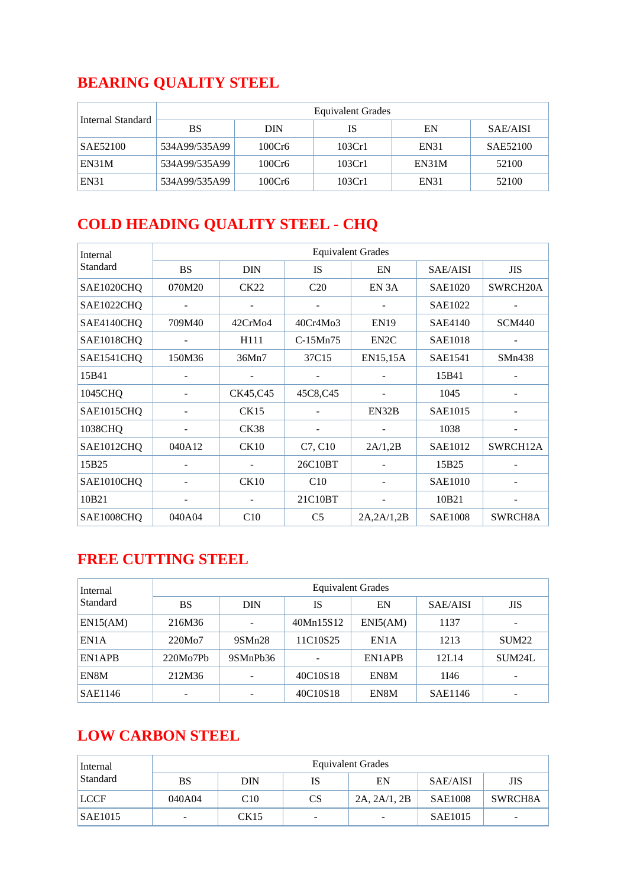## **BEARING QUALITY STEEL**

| Internal Standard | <b>Equivalent Grades</b> |        |        |             |                 |  |  |  |  |
|-------------------|--------------------------|--------|--------|-------------|-----------------|--|--|--|--|
|                   | <b>BS</b>                | DIN    | IS     | EN          | <b>SAE/AISI</b> |  |  |  |  |
| SAE52100          | 534A99/535A99            | 100Cr6 | 103Cr1 | EN31        | SAE52100        |  |  |  |  |
| EN31M             | 534A99/535A99            | 100Cr6 | 103Cr1 | EN31M       | 52100           |  |  |  |  |
| <b>EN31</b>       | 534A99/535A99            | 100Cr6 | 103Cr1 | <b>EN31</b> | 52100           |  |  |  |  |

## **COLD HEADING QUALITY STEEL - CHQ**

| Internal   |           | <b>Equivalent Grades</b> |                |                   |                |               |  |  |  |  |
|------------|-----------|--------------------------|----------------|-------------------|----------------|---------------|--|--|--|--|
| Standard   | <b>BS</b> | <b>DIN</b>               | <b>IS</b>      | EN                | SAE/AISI       | <b>JIS</b>    |  |  |  |  |
| SAE1020CHQ | 070M20    | <b>CK22</b>              | C20            | EN <sub>3</sub> A | <b>SAE1020</b> | SWRCH20A      |  |  |  |  |
| SAE1022CHQ |           |                          |                |                   | <b>SAE1022</b> |               |  |  |  |  |
| SAE4140CHQ | 709M40    | 42CrMo4                  | 40Cr4Mo3       | <b>EN19</b>       | <b>SAE4140</b> | <b>SCM440</b> |  |  |  |  |
| SAE1018CHQ |           | H111                     | C-15Mn75       | EN <sub>2</sub> C | <b>SAE1018</b> |               |  |  |  |  |
| SAE1541CHQ | 150M36    | 36Mn7                    | 37C15          | EN15,15A          | <b>SAE1541</b> | SMn438        |  |  |  |  |
| 15B41      |           |                          |                |                   | 15B41          |               |  |  |  |  |
| 1045CHQ    |           | CK45,C45                 | 45C8,C45       |                   | 1045           |               |  |  |  |  |
| SAE1015CHQ |           | CK15                     |                | EN32B             | <b>SAE1015</b> |               |  |  |  |  |
| 1038CHQ    |           | <b>CK38</b>              |                |                   | 1038           |               |  |  |  |  |
| SAE1012CHQ | 040A12    | CK10                     | C7, C10        | 2A/1,2B           | SAE1012        | SWRCH12A      |  |  |  |  |
| 15B25      |           |                          | 26C10BT        |                   | 15B25          |               |  |  |  |  |
| SAE1010CHQ |           | CK10                     | C10            |                   | <b>SAE1010</b> |               |  |  |  |  |
| 10B21      |           |                          | 21C10BT        |                   | 10B21          |               |  |  |  |  |
| SAE1008CHQ | 040A04    | C10                      | C <sub>5</sub> | 2A, 2A/1, 2B      | <b>SAE1008</b> | SWRCH8A       |  |  |  |  |

#### **FREE CUTTING STEEL**

| Internal        | <b>Equivalent Grades</b> |            |           |          |          |                   |  |  |  |
|-----------------|--------------------------|------------|-----------|----------|----------|-------------------|--|--|--|
| <b>Standard</b> | <b>BS</b>                | <b>DIN</b> | IS        | EN       | SAE/AISI | <b>JIS</b>        |  |  |  |
| EN15(AM)        | 216M36                   |            | 40Mn15S12 | ENI5(AM) | 1137     |                   |  |  |  |
| EN1A            | 220M <sub>o</sub> 7      | 9SMn28     | 11C10S25  | EN1A     | 1213     | SUM <sub>22</sub> |  |  |  |
| EN1APB          | 220Mo7Pb                 | 9SMnPb36   |           | EN1APB   | 12L14    | SUM24L            |  |  |  |
| EN8M            | 212M36                   |            | 40C10S18  | EN8M     | 1I46     |                   |  |  |  |
| SAE1146         |                          |            | 40C10S18  | EN8M     | SAE1146  |                   |  |  |  |

### **LOW CARBON STEEL**

| Internal<br>Standard | <b>Equivalent Grades</b> |            |           |                          |                |                          |  |  |  |
|----------------------|--------------------------|------------|-----------|--------------------------|----------------|--------------------------|--|--|--|
|                      | <b>BS</b>                | <b>DIN</b> | IS        | EN                       | SAE/AISI       | <b>JIS</b>               |  |  |  |
| <b>LCCF</b>          | 040A04                   | C10        | <b>CS</b> | 2A, 2A/1, 2B             | <b>SAE1008</b> | SWRCH8A                  |  |  |  |
| <b>SAE1015</b>       |                          | CK15       |           | $\overline{\phantom{a}}$ | <b>SAE1015</b> | $\overline{\phantom{0}}$ |  |  |  |